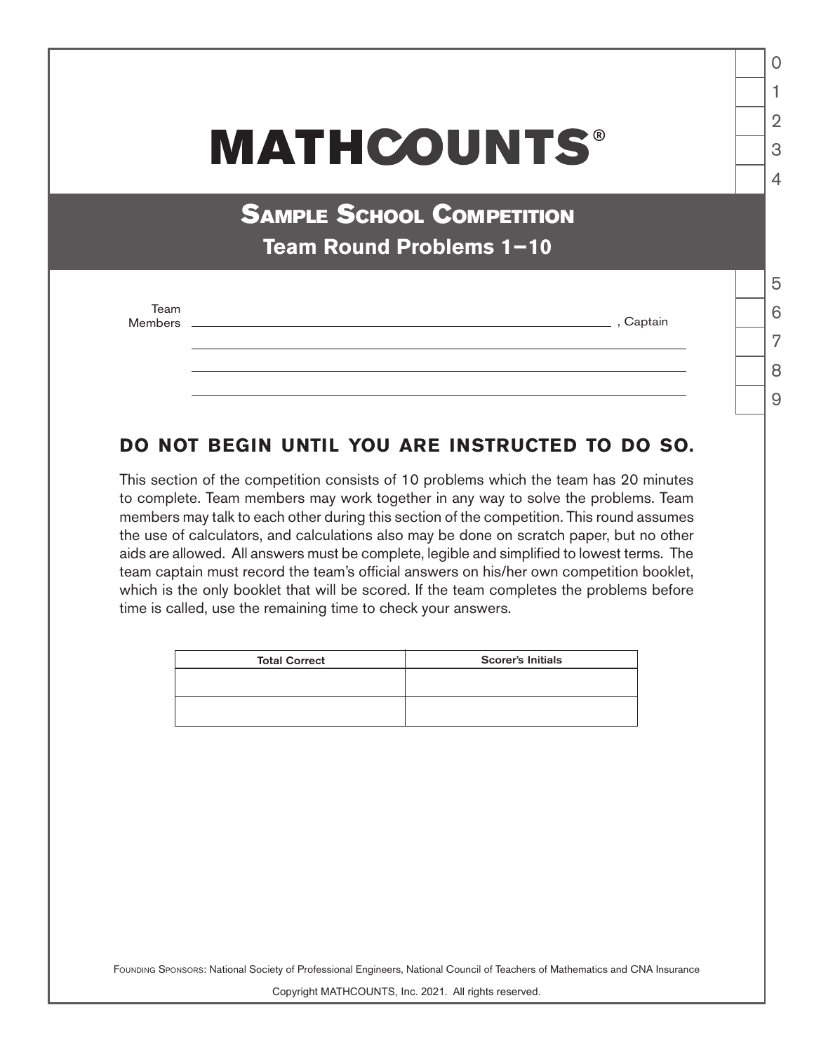## **MATHCOUNTS®**

**SAMPLE SCHOOL COMPETITION Team Round Problems 1−10**

Team<br>Members

\_\_\_\_\_\_\_\_\_\_\_\_\_\_\_ , Captain

## 8

 $\overline{9}$ 

1

 $\Omega$ 

 $\mathfrak{D}$ 

3

 $\Delta$ 

5

6

7

## **DO NOT BEGIN UNTIL YOU ARE INSTRUCTED TO DO SO.**

This section of the competition consists of 10 problems which the team has 20 minutes to complete. Team members may work together in any way to solve the problems. Team members may talk to each other during this section of the competition. This round assumes the use of calculators, and calculations also may be done on scratch paper, but no other aids are allowed. All answers must be complete, legible and simplified to lowest terms. The team captain must record the team's official answers on his/her own competition booklet, which is the only booklet that will be scored. If the team completes the problems before time is called, use the remaining time to check your answers.

| <b>Total Correct</b> | <b>Scorer's Initials</b> |
|----------------------|--------------------------|
|                      |                          |
|                      |                          |
|                      |                          |

FOUNDING SPONSORS: National Society of Professional Engineers, National Council of Teachers of Mathematics and CNA Insurance

Copyright MATHCOUNTS, Inc. 2021. All rights reserved.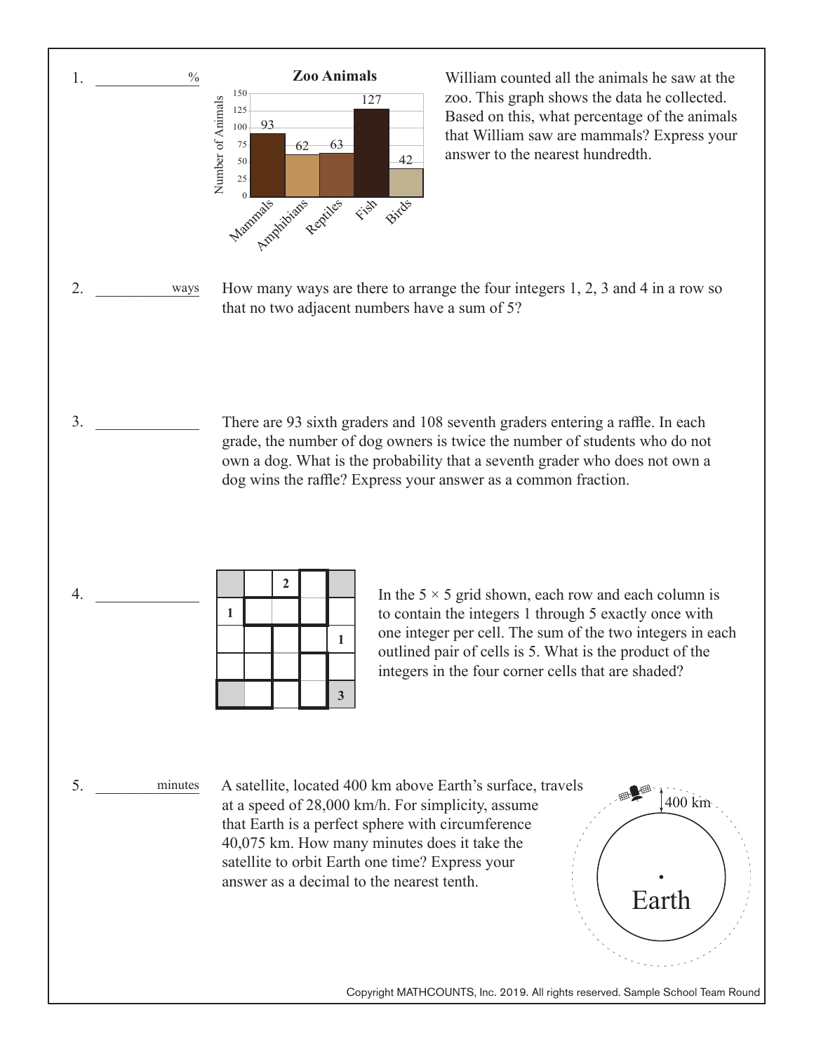

William counted all the animals he saw at the zoo. This graph shows the data he collected. Based on this, what percentage of the animals that William saw are mammals? Express your answer to the nearest hundredth.

How many ways are there to arrange the four integers 1, 2, 3 and 4 in a row so that no two adjacent numbers have a sum of 5?

There are 93 sixth graders and 108 seventh graders entering a raffle. In each grade, the number of dog owners is twice the number of students who do not own a dog. What is the probability that a seventh grader who does not own a dog wins the raffle? Express your answer as a common fraction.

| In the $5 \times 5$ grid shown, each row and each column is |
|-------------------------------------------------------------|
| to contain the integers 1 through 5 exactly once with       |
| one integer per cell. The sum of the two integers in each   |
| outlined pair of cells is 5. What is the product of the     |
| integers in the four corner cells that are shaded?          |
|                                                             |

A satellite, located 400 km above Earth's surface, travels at a speed of 28,000 km/h. For simplicity, assume that Earth is a perfect sphere with circumference 40,075 km. How many minutes does it take the satellite to orbit Earth one time? Express your answer as a decimal to the nearest tenth.

Copyright MATHCOUNTS, Inc. 2019. All rights reserved. Sample School Team Round

400 km

Earth